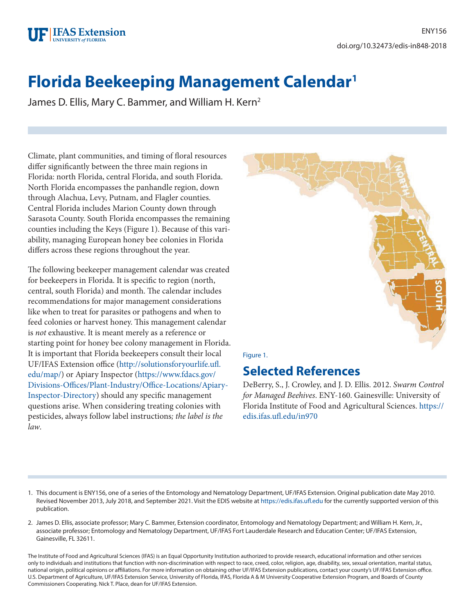

# **Florida Beekeeping Management Calendar1**

James D. Ellis, Mary C. Bammer, and William H. Kern<sup>2</sup>

Climate, plant communities, and timing of floral resources differ significantly between the three main regions in Florida: north Florida, central Florida, and south Florida. North Florida encompasses the panhandle region, down through Alachua, Levy, Putnam, and Flagler counties. Central Florida includes Marion County down through Sarasota County. South Florida encompasses the remaining counties including the Keys (Figure 1). Because of this variability, managing European honey bee colonies in Florida differs across these regions throughout the year.

The following beekeeper management calendar was created for beekeepers in Florida. It is specific to region (north, central, south Florida) and month. The calendar includes recommendations for major management considerations like when to treat for parasites or pathogens and when to feed colonies or harvest honey. This management calendar is *not* exhaustive. It is meant merely as a reference or starting point for honey bee colony management in Florida. It is important that Florida beekeepers consult their local UF/IFAS Extension office ([http://solutionsforyourlife.ufl.](http://solutionsforyourlife.ufl.edu/map/) [edu/map/\)](http://solutionsforyourlife.ufl.edu/map/) or Apiary Inspector ([https://www.fdacs.gov/](https://www.fdacs.gov/Divisions-Offices/Plant-Industry/Office-Locations/Apiary-Inspector-Directory) [Divisions-Offices/Plant-Industry/Office-Locations/Apiary-](https://www.fdacs.gov/Divisions-Offices/Plant-Industry/Office-Locations/Apiary-Inspector-Directory)[Inspector-Directory\)](https://www.fdacs.gov/Divisions-Offices/Plant-Industry/Office-Locations/Apiary-Inspector-Directory) should any specific management questions arise. When considering treating colonies with pesticides, always follow label instructions*; the label is the law*.



## **Selected References**

DeBerry, S., J. Crowley, and J. D. Ellis. 2012. *Swarm Control for Managed Beehives*. ENY-160. Gainesville: University of Florida Institute of Food and Agricultural Sciences. [https://](https://edis.ifas.ufl.edu/in970) [edis.ifas.ufl.edu/in970](https://edis.ifas.ufl.edu/in970)

- 1. This document is ENY156, one of a series of the Entomology and Nematology Department, UF/IFAS Extension. Original publication date May 2010. Revised November 2013, July 2018, and September 2021. Visit the EDIS website at<https://edis.ifas.ufl.edu> for the currently supported version of this publication.
- 2. James D. Ellis, associate professor; Mary C. Bammer, Extension coordinator, Entomology and Nematology Department; and William H. Kern, Jr., associate professor; Entomology and Nematology Department, UF/IFAS Fort Lauderdale Research and Education Center; UF/IFAS Extension, Gainesville, FL 32611.

The Institute of Food and Agricultural Sciences (IFAS) is an Equal Opportunity Institution authorized to provide research, educational information and other services only to individuals and institutions that function with non-discrimination with respect to race, creed, color, religion, age, disability, sex, sexual orientation, marital status, national origin, political opinions or affiliations. For more information on obtaining other UF/IFAS Extension publications, contact your county's UF/IFAS Extension office. U.S. Department of Agriculture, UF/IFAS Extension Service, University of Florida, IFAS, Florida A & M University Cooperative Extension Program, and Boards of County Commissioners Cooperating. Nick T. Place, dean for UF/IFAS Extension.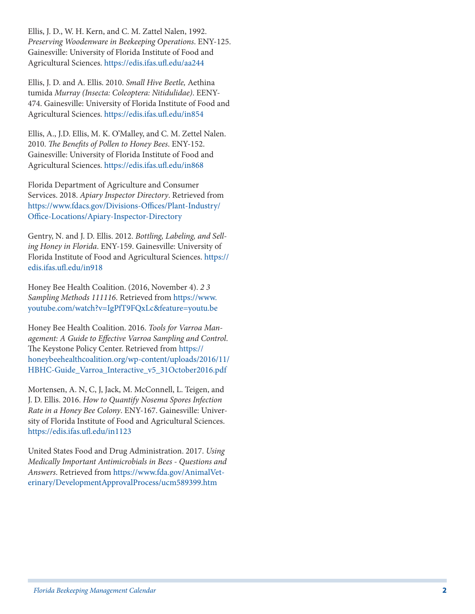Ellis, J. D., W. H. Kern, and C. M. Zattel Nalen, 1992. *Preserving Woodenware in Beekeeping Operations*. ENY-125. Gainesville: University of Florida Institute of Food and Agricultural Sciences.<https://edis.ifas.ufl.edu/aa244>

Ellis, J. D. and A. Ellis. 2010. *Small Hive Beetle,* Aethina tumida *Murray (Insecta: Coleoptera: Nitidulidae)*. EENY-474. Gainesville: University of Florida Institute of Food and Agricultural Sciences.<https://edis.ifas.ufl.edu/in854>

Ellis, A., J.D. Ellis, M. K. O'Malley, and C. M. Zettel Nalen. 2010. *The Benefits of Pollen to Honey Bees*. ENY-152. Gainesville: University of Florida Institute of Food and Agricultural Sciences.<https://edis.ifas.ufl.edu/in868>

Florida Department of Agriculture and Consumer Services. 2018. *Apiary Inspector Directory*. Retrieved from [https://www.fdacs.gov/Divisions-Offices/Plant-Industry/](https://www.fdacs.gov/Divisions-Offices/Plant-Industry/Office-Locations/Apiary-Inspector-Directory) [Office-Locations/Apiary-Inspector-Directory](https://www.fdacs.gov/Divisions-Offices/Plant-Industry/Office-Locations/Apiary-Inspector-Directory)

Gentry, N. and J. D. Ellis. 2012. *Bottling, Labeling, and Sell ing Honey in Florida*. ENY-159. Gainesville: University of Florida Institute of Food and Agricultural Sciences. [https://](https://edis.ifas.ufl.edu/in918) [edis.ifas.ufl.edu/in918](https://edis.ifas.ufl.edu/in918)

Honey Bee Health Coalition. (2016, November 4). *2 3 Sampling Methods 111116*. Retrieved from [https://www.](https://www.youtube.com/watch?v=IgPfT9FQxLc&feature=youtu.be) [youtube.com/watch?v=IgPfT9FQxLc&feature=youtu.be](https://www.youtube.com/watch?v=IgPfT9FQxLc&feature=youtu.be)

Honey Bee Health Coalition. 2016. *Tools for Varroa Man agement: A Guide to Effective Varroa Sampling and Control*. The Keystone Policy Center. Retrieved from [https://](https://honeybeehealthcoalition.org/wp-content/uploads/2016/11/HBHC-Guide_Varroa_Interactive_v5_31October2016.pdf) [honeybeehealthcoalition.org/wp-content/uploads/2016/11/](https://honeybeehealthcoalition.org/wp-content/uploads/2016/11/HBHC-Guide_Varroa_Interactive_v5_31October2016.pdf) [HBHC-Guide\\_Varroa\\_Interactive\\_v5\\_31October2016.pdf](https://honeybeehealthcoalition.org/wp-content/uploads/2016/11/HBHC-Guide_Varroa_Interactive_v5_31October2016.pdf)

Mortensen, A. N, C, J, Jack, M. McConnell, L. Teigen, and J. D. Ellis. 2016. *How to Quantify Nosema Spores Infection Rate in a Honey Bee Colony*. ENY-167. Gainesville: Univer sity of Florida Institute of Food and Agricultural Sciences. <https://edis.ifas.ufl.edu/in1123>

United States Food and Drug Administration. 2017. *Using Medically Important Antimicrobials in Bees - Questions and Answers*. Retrieved from [https://www.fda.gov/AnimalVet](https://www.fda.gov/AnimalVeterinary/DevelopmentApprovalProcess/ucm589399.htm) [erinary/DevelopmentApprovalProcess/ucm589399.htm](https://www.fda.gov/AnimalVeterinary/DevelopmentApprovalProcess/ucm589399.htm)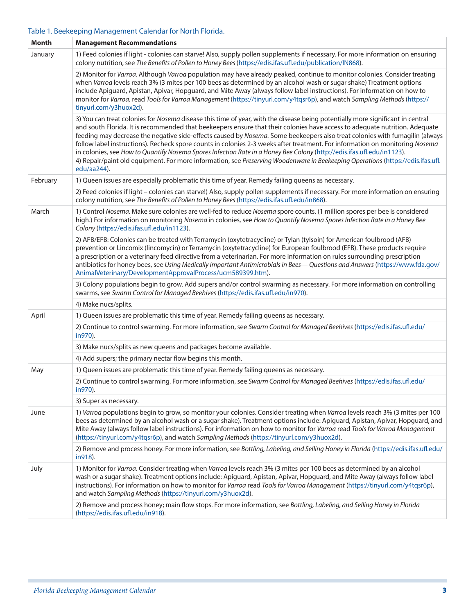#### Table 1. Beekeeping Management Calendar for North Florida.

| Month    | <b>Management Recommendations</b>                                                                                                                                                                                                                                                                                                                                                                                                                                                                                                                                                                                                                                                                                                                                                                        |
|----------|----------------------------------------------------------------------------------------------------------------------------------------------------------------------------------------------------------------------------------------------------------------------------------------------------------------------------------------------------------------------------------------------------------------------------------------------------------------------------------------------------------------------------------------------------------------------------------------------------------------------------------------------------------------------------------------------------------------------------------------------------------------------------------------------------------|
| January  | 1) Feed colonies if light - colonies can starve! Also, supply pollen supplements if necessary. For more information on ensuring<br>colony nutrition, see The Benefits of Pollen to Honey Bees (https://edis.ifas.ufl.edu/publication/IN868).                                                                                                                                                                                                                                                                                                                                                                                                                                                                                                                                                             |
|          | 2) Monitor for Varroa. Although Varroa population may have already peaked, continue to monitor colonies. Consider treating<br>when Varroa levels reach 3% (3 mites per 100 bees as determined by an alcohol wash or sugar shake) Treatment options<br>include Apiguard, Apistan, Apivar, Hopguard, and Mite Away (always follow label instructions). For information on how to<br>monitor for Varroa, read Tools for Varroa Management (https://tinyurl.com/y4tqsr6p), and watch Sampling Methods (https://<br>tinyurl.com/y3huox2d).                                                                                                                                                                                                                                                                    |
|          | 3) You can treat colonies for Nosema disease this time of year, with the disease being potentially more significant in central<br>and south Florida. It is recommended that beekeepers ensure that their colonies have access to adequate nutrition. Adequate<br>feeding may decrease the negative side-effects caused by Nosema. Some beekeepers also treat colonies with fumagilin (always<br>follow label instructions). Recheck spore counts in colonies 2-3 weeks after treatment. For information on monitoring Nosema<br>in colonies, see How to Quantify Nosema Spores Infection Rate in a Honey Bee Colony (http://edis.ifas.ufl.edu/in1123).<br>4) Repair/paint old equipment. For more information, see Preserving Woodenware in Beekeeping Operations (https://edis.ifas.ufl.<br>edu/aa244). |
| February | 1) Queen issues are especially problematic this time of year. Remedy failing queens as necessary.                                                                                                                                                                                                                                                                                                                                                                                                                                                                                                                                                                                                                                                                                                        |
|          | 2) Feed colonies if light - colonies can starve!) Also, supply pollen supplements if necessary. For more information on ensuring<br>colony nutrition, see The Benefits of Pollen to Honey Bees (https://edis.ifas.ufl.edu/in868).                                                                                                                                                                                                                                                                                                                                                                                                                                                                                                                                                                        |
| March    | 1) Control Nosema. Make sure colonies are well-fed to reduce Nosema spore counts. (1 million spores per bee is considered<br>high.) For information on monitoring Nosema in colonies, see How to Quantify Nosema Spores Infection Rate in a Honey Bee<br>Colony (https://edis.ifas.ufl.edu/in1123).                                                                                                                                                                                                                                                                                                                                                                                                                                                                                                      |
|          | 2) AFB/EFB: Colonies can be treated with Terramycin (oxytetracycline) or Tylan (tylsoin) for American foulbrood (AFB)<br>prevention or Lincomix (lincomycin) or Terramycin (oxytetracycline) for European foulbrood (EFB). These products require<br>a prescription or a veterinary feed directive from a veterinarian. For more information on rules surrounding prescription<br>antibiotics for honey bees, see Using Medically Important Antimicrobials in Bees-Questions and Answers (https://www.fda.gov/<br>AnimalVeterinary/DevelopmentApprovalProcess/ucm589399.htm).                                                                                                                                                                                                                            |
|          | 3) Colony populations begin to grow. Add supers and/or control swarming as necessary. For more information on controlling<br>swarms, see Swarm Control for Managed Beehives (https://edis.ifas.ufl.edu/in970).                                                                                                                                                                                                                                                                                                                                                                                                                                                                                                                                                                                           |
|          | 4) Make nucs/splits.                                                                                                                                                                                                                                                                                                                                                                                                                                                                                                                                                                                                                                                                                                                                                                                     |
| April    | 1) Queen issues are problematic this time of year. Remedy failing queens as necessary.                                                                                                                                                                                                                                                                                                                                                                                                                                                                                                                                                                                                                                                                                                                   |
|          | 2) Continue to control swarming. For more information, see Swarm Control for Managed Beehives (https://edis.ifas.ufl.edu/<br>in970).                                                                                                                                                                                                                                                                                                                                                                                                                                                                                                                                                                                                                                                                     |
|          | 3) Make nucs/splits as new queens and packages become available.                                                                                                                                                                                                                                                                                                                                                                                                                                                                                                                                                                                                                                                                                                                                         |
|          | 4) Add supers; the primary nectar flow begins this month.                                                                                                                                                                                                                                                                                                                                                                                                                                                                                                                                                                                                                                                                                                                                                |
| May      | 1) Queen issues are problematic this time of year. Remedy failing queens as necessary.                                                                                                                                                                                                                                                                                                                                                                                                                                                                                                                                                                                                                                                                                                                   |
|          | 2) Continue to control swarming. For more information, see Swarm Control for Managed Beehives (https://edis.ifas.ufl.edu/<br>in970).                                                                                                                                                                                                                                                                                                                                                                                                                                                                                                                                                                                                                                                                     |
|          | 3) Super as necessary.                                                                                                                                                                                                                                                                                                                                                                                                                                                                                                                                                                                                                                                                                                                                                                                   |
| June     | 1) Varroa populations begin to grow, so monitor your colonies. Consider treating when Varroa levels reach 3% (3 mites per 100<br>bees as determined by an alcohol wash or a sugar shake). Treatment options include: Apiguard, Apistan, Apivar, Hopguard, and<br>Mite Away (always follow label instructions). For information on how to monitor for Varroa read Tools for Varroa Management<br>(https://tinyurl.com/y4tqsr6p), and watch Sampling Methods (https://tinyurl.com/y3huox2d).                                                                                                                                                                                                                                                                                                               |
|          | 2) Remove and process honey. For more information, see Bottling, Labeling, and Selling Honey in Florida (https://edis.ifas.ufl.edu/<br>in918).                                                                                                                                                                                                                                                                                                                                                                                                                                                                                                                                                                                                                                                           |
| July     | 1) Monitor for Varroa. Consider treating when Varroa levels reach 3% (3 mites per 100 bees as determined by an alcohol<br>wash or a sugar shake). Treatment options include: Apiguard, Apistan, Apivar, Hopguard, and Mite Away (always follow label<br>instructions). For information on how to monitor for Varroa read Tools for Varroa Management (https://tinyurl.com/y4tqsr6p),<br>and watch Sampling Methods (https://tinyurl.com/y3huox2d).                                                                                                                                                                                                                                                                                                                                                       |
|          | 2) Remove and process honey; main flow stops. For more information, see Bottling, Labeling, and Selling Honey in Florida<br>(https://edis.ifas.ufl.edu/in918).                                                                                                                                                                                                                                                                                                                                                                                                                                                                                                                                                                                                                                           |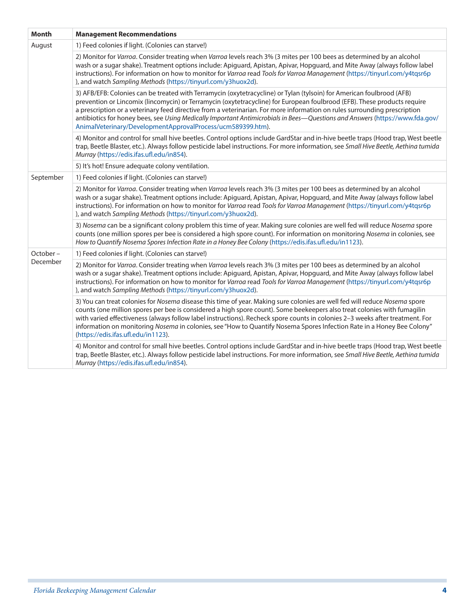| <b>Month</b> | <b>Management Recommendations</b>                                                                                                                                                                                                                                                                                                                                                                                                                                                                                                                                             |
|--------------|-------------------------------------------------------------------------------------------------------------------------------------------------------------------------------------------------------------------------------------------------------------------------------------------------------------------------------------------------------------------------------------------------------------------------------------------------------------------------------------------------------------------------------------------------------------------------------|
| August       | 1) Feed colonies if light. (Colonies can starve!)                                                                                                                                                                                                                                                                                                                                                                                                                                                                                                                             |
|              | 2) Monitor for Varroa. Consider treating when Varroa levels reach 3% (3 mites per 100 bees as determined by an alcohol<br>wash or a sugar shake). Treatment options include: Apiguard, Apistan, Apivar, Hopguard, and Mite Away (always follow label<br>instructions). For information on how to monitor for Varroa read Tools for Varroa Management (https://tinyurl.com/y4tqsr6p<br>), and watch Sampling Methods (https://tinyurl.com/y3huox2d).                                                                                                                           |
|              | 3) AFB/EFB: Colonies can be treated with Terramycin (oxytetracycline) or Tylan (tylsoin) for American foulbrood (AFB)<br>prevention or Lincomix (lincomycin) or Terramycin (oxytetracycline) for European foulbrood (EFB). These products require<br>a prescription or a veterinary feed directive from a veterinarian. For more information on rules surrounding prescription<br>antibiotics for honey bees, see Using Medically Important Antimicrobials in Bees-Questions and Answers (https://www.fda.gov/<br>AnimalVeterinary/DevelopmentApprovalProcess/ucm589399.htm). |
|              | 4) Monitor and control for small hive beetles. Control options include GardStar and in-hive beetle traps (Hood trap, West beetle<br>trap, Beetle Blaster, etc.). Always follow pesticide label instructions. For more information, see Small Hive Beetle, Aethina tumida<br>Murray (https://edis.ifas.ufl.edu/in854).                                                                                                                                                                                                                                                         |
|              | 5) It's hot! Ensure adequate colony ventilation.                                                                                                                                                                                                                                                                                                                                                                                                                                                                                                                              |
| September    | 1) Feed colonies if light. (Colonies can starve!)                                                                                                                                                                                                                                                                                                                                                                                                                                                                                                                             |
|              | 2) Monitor for Varroa. Consider treating when Varroa levels reach 3% (3 mites per 100 bees as determined by an alcohol<br>wash or a sugar shake). Treatment options include: Apiguard, Apistan, Apivar, Hopguard, and Mite Away (always follow label<br>instructions). For information on how to monitor for Varroa read Tools for Varroa Management (https://tinyurl.com/y4tqsr6p<br>), and watch Sampling Methods (https://tinyurl.com/y3huox2d).                                                                                                                           |
|              | 3) Nosema can be a significant colony problem this time of year. Making sure colonies are well fed will reduce Nosema spore<br>counts (one million spores per bee is considered a high spore count). For information on monitoring Nosema in colonies, see<br>How to Quantify Nosema Spores Infection Rate in a Honey Bee Colony (https://edis.ifas.ufl.edu/in1123).                                                                                                                                                                                                          |
| October-     | 1) Feed colonies if light. (Colonies can starve!)                                                                                                                                                                                                                                                                                                                                                                                                                                                                                                                             |
| December     | 2) Monitor for Varroa. Consider treating when Varroa levels reach 3% (3 mites per 100 bees as determined by an alcohol<br>wash or a sugar shake). Treatment options include: Apiguard, Apistan, Apivar, Hopguard, and Mite Away (always follow label<br>instructions). For information on how to monitor for Varroa read Tools for Varroa Management (https://tinyurl.com/y4tqsr6p<br>), and watch Sampling Methods (https://tinyurl.com/y3huox2d).                                                                                                                           |
|              | 3) You can treat colonies for Nosema disease this time of year. Making sure colonies are well fed will reduce Nosema spore<br>counts (one million spores per bee is considered a high spore count). Some beekeepers also treat colonies with fumagilin<br>with varied effectiveness (always follow label instructions). Recheck spore counts in colonies 2-3 weeks after treatment. For<br>information on monitoring Nosema in colonies, see "How to Quantify Nosema Spores Infection Rate in a Honey Bee Colony"<br>(https://edis.ifas.ufl.edu/in1123).                      |
|              | 4) Monitor and control for small hive beetles. Control options include GardStar and in-hive beetle traps (Hood trap, West beetle<br>trap, Beetle Blaster, etc.). Always follow pesticide label instructions. For more information, see Small Hive Beetle, Aethina tumida<br>Murray (https://edis.ifas.ufl.edu/in854).                                                                                                                                                                                                                                                         |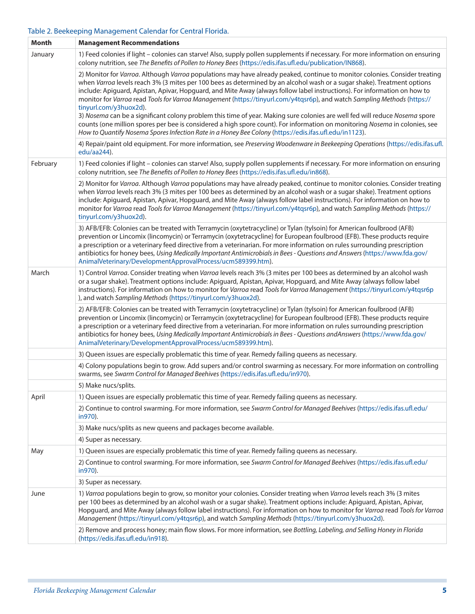#### Table 2. Beekeeping Management Calendar for Central Florida.

| <b>Month</b> | <b>Management Recommendations</b>                                                                                                                                                                                                                                                                                                                                                                                                                                                                                                                                                                                                                                                                                                                                                                                                                                                                                 |
|--------------|-------------------------------------------------------------------------------------------------------------------------------------------------------------------------------------------------------------------------------------------------------------------------------------------------------------------------------------------------------------------------------------------------------------------------------------------------------------------------------------------------------------------------------------------------------------------------------------------------------------------------------------------------------------------------------------------------------------------------------------------------------------------------------------------------------------------------------------------------------------------------------------------------------------------|
| January      | 1) Feed colonies if light - colonies can starve! Also, supply pollen supplements if necessary. For more information on ensuring<br>colony nutrition, see The Benefits of Pollen to Honey Bees (https://edis.ifas.ufl.edu/publication/IN868).                                                                                                                                                                                                                                                                                                                                                                                                                                                                                                                                                                                                                                                                      |
|              | 2) Monitor for Varroa. Although Varroa populations may have already peaked, continue to monitor colonies. Consider treating<br>when Varroa levels reach 3% (3 mites per 100 bees as determined by an alcohol wash or a sugar shake). Treatment options<br>include: Apiguard, Apistan, Apivar, Hopguard, and Mite Away (always follow label instructions). For information on how to<br>monitor for Varroa read Tools for Varroa Management (https://tinyurl.com/y4tqsr6p), and watch Sampling Methods (https://<br>tinyurl.com/y3huox2d).<br>3) Nosema can be a significant colony problem this time of year. Making sure colonies are well fed will reduce Nosema spore<br>counts (one million spores per bee is considered a high spore count). For information on monitoring Nosema in colonies, see<br>How to Quantify Nosema Spores Infection Rate in a Honey Bee Colony (https://edis.ifas.ufl.edu/in1123). |
|              | 4) Repair/paint old equipment. For more information, see Preserving Woodenware in Beekeeping Operations (https://edis.ifas.ufl.<br>edu/aa244).                                                                                                                                                                                                                                                                                                                                                                                                                                                                                                                                                                                                                                                                                                                                                                    |
| February     | 1) Feed colonies if light - colonies can starve! Also, supply pollen supplements if necessary. For more information on ensuring<br>colony nutrition, see The Benefits of Pollen to Honey Bees (https://edis.ifas.ufl.edu/in868).                                                                                                                                                                                                                                                                                                                                                                                                                                                                                                                                                                                                                                                                                  |
|              | 2) Monitor for Varroa. Although Varroa populations may have already peaked, continue to monitor colonies. Consider treating<br>when Varroa levels reach 3% (3 mites per 100 bees as determined by an alcohol wash or a sugar shake). Treatment options<br>include: Apiguard, Apistan, Apivar, Hopguard, and Mite Away (always follow label instructions). For information on how to<br>monitor for Varroa read Tools for Varroa Management (https://tinyurl.com/y4tqsr6p), and watch Sampling Methods (https://<br>tinyurl.com/y3huox2d).                                                                                                                                                                                                                                                                                                                                                                         |
|              | 3) AFB/EFB: Colonies can be treated with Terramycin (oxytetracycline) or Tylan (tylsoin) for American foulbrood (AFB)<br>prevention or Lincomix (lincomycin) or Terramycin (oxytetracycline) for European foulbrood (EFB). These products require<br>a prescription or a veterinary feed directive from a veterinarian. For more information on rules surrounding prescription<br>antibiotics for honey bees, Using Medically Important Antimicrobials in Bees - Questions and Answers (https://www.fda.gov/<br>AnimalVeterinary/DevelopmentApprovalProcess/ucm589399.htm).                                                                                                                                                                                                                                                                                                                                       |
| March        | 1) Control Varroa. Consider treating when Varroa levels reach 3% (3 mites per 100 bees as determined by an alcohol wash<br>or a sugar shake). Treatment options include: Apiguard, Apistan, Apivar, Hopguard, and Mite Away (always follow label<br>instructions). For information on how to monitor for Varroa read Tools for Varroa Management (https://tinyurl.com/y4tqsr6p<br>), and watch Sampling Methods (https://tinyurl.com/y3huox2d).                                                                                                                                                                                                                                                                                                                                                                                                                                                                   |
|              | 2) AFB/EFB: Colonies can be treated with Terramycin (oxytetracycline) or Tylan (tylsoin) for American foulbrood (AFB)<br>prevention or Lincomix (lincomycin) or Terramycin (oxytetracycline) for European foulbrood (EFB). These products require<br>a prescription or a veterinary feed directive from a veterinarian. For more information on rules surrounding prescription<br>antibiotics for honey bees, Using Medically Important Antimicrobials in Bees - Questions and Answers (https://www.fda.gov/<br>AnimalVeterinary/DevelopmentApprovalProcess/ucm589399.htm).                                                                                                                                                                                                                                                                                                                                       |
|              | 3) Queen issues are especially problematic this time of year. Remedy failing queens as necessary.                                                                                                                                                                                                                                                                                                                                                                                                                                                                                                                                                                                                                                                                                                                                                                                                                 |
|              | 4) Colony populations begin to grow. Add supers and/or control swarming as necessary. For more information on controlling<br>swarms, see Swarm Control for Managed Beehives (https://edis.ifas.ufl.edu/in970).                                                                                                                                                                                                                                                                                                                                                                                                                                                                                                                                                                                                                                                                                                    |
|              | 5) Make nucs/splits.                                                                                                                                                                                                                                                                                                                                                                                                                                                                                                                                                                                                                                                                                                                                                                                                                                                                                              |
| April        | 1) Queen issues are especially problematic this time of year. Remedy failing queens as necessary.                                                                                                                                                                                                                                                                                                                                                                                                                                                                                                                                                                                                                                                                                                                                                                                                                 |
|              | 2) Continue to control swarming. For more information, see Swarm Control for Managed Beehives (https://edis.ifas.ufl.edu/<br>in970).                                                                                                                                                                                                                                                                                                                                                                                                                                                                                                                                                                                                                                                                                                                                                                              |
|              | 3) Make nucs/splits as new queens and packages become available.                                                                                                                                                                                                                                                                                                                                                                                                                                                                                                                                                                                                                                                                                                                                                                                                                                                  |
|              | 4) Super as necessary.                                                                                                                                                                                                                                                                                                                                                                                                                                                                                                                                                                                                                                                                                                                                                                                                                                                                                            |
| May          | 1) Queen issues are especially problematic this time of year. Remedy failing queens as necessary.                                                                                                                                                                                                                                                                                                                                                                                                                                                                                                                                                                                                                                                                                                                                                                                                                 |
|              | 2) Continue to control swarming. For more information, see Swarm Control for Managed Beehives (https://edis.ifas.ufl.edu/<br>in970).                                                                                                                                                                                                                                                                                                                                                                                                                                                                                                                                                                                                                                                                                                                                                                              |
|              | 3) Super as necessary.                                                                                                                                                                                                                                                                                                                                                                                                                                                                                                                                                                                                                                                                                                                                                                                                                                                                                            |
| June         | 1) Varroa populations begin to grow, so monitor your colonies. Consider treating when Varroa levels reach 3% (3 mites<br>per 100 bees as determined by an alcohol wash or a sugar shake). Treatment options include: Apiguard, Apistan, Apivar,<br>Hopguard, and Mite Away (always follow label instructions). For information on how to monitor for Varroa read Tools for Varroa<br>Management (https://tinyurl.com/y4tqsr6p), and watch Sampling Methods (https://tinyurl.com/y3huox2d).                                                                                                                                                                                                                                                                                                                                                                                                                        |
|              | 2) Remove and process honey; main flow slows. For more information, see Bottling, Labeling, and Selling Honey in Florida<br>(https://edis.ifas.ufl.edu/in918).                                                                                                                                                                                                                                                                                                                                                                                                                                                                                                                                                                                                                                                                                                                                                    |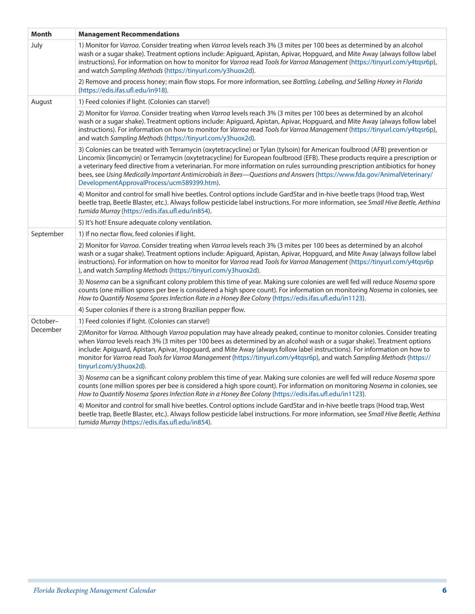| <b>Month</b> | <b>Management Recommendations</b>                                                                                                                                                                                                                                                                                                                                                                                                                                                                                                                                    |
|--------------|----------------------------------------------------------------------------------------------------------------------------------------------------------------------------------------------------------------------------------------------------------------------------------------------------------------------------------------------------------------------------------------------------------------------------------------------------------------------------------------------------------------------------------------------------------------------|
| July         | 1) Monitor for Varroa. Consider treating when Varroa levels reach 3% (3 mites per 100 bees as determined by an alcohol<br>wash or a sugar shake). Treatment options include: Apiguard, Apistan, Apivar, Hopguard, and Mite Away (always follow label<br>instructions). For information on how to monitor for Varroa read Tools for Varroa Management (https://tinyurl.com/y4tqsr6p),<br>and watch Sampling Methods (https://tinyurl.com/y3huox2d).                                                                                                                   |
|              | 2) Remove and process honey; main flow stops. For more information, see Bottling, Labeling, and Selling Honey in Florida<br>(https://edis.ifas.ufl.edu/in918).                                                                                                                                                                                                                                                                                                                                                                                                       |
| August       | 1) Feed colonies if light. (Colonies can starve!)                                                                                                                                                                                                                                                                                                                                                                                                                                                                                                                    |
|              | 2) Monitor for Varroa. Consider treating when Varroa levels reach 3% (3 mites per 100 bees as determined by an alcohol<br>wash or a sugar shake). Treatment options include: Apiguard, Apistan, Apivar, Hopguard, and Mite Away (always follow label<br>instructions). For information on how to monitor for Varroa read Tools for Varroa Management (https://tinyurl.com/y4tqsr6p),<br>and watch Sampling Methods (https://tinyurl.com/y3huox2d).                                                                                                                   |
|              | 3) Colonies can be treated with Terramycin (oxytetracycline) or Tylan (tylsoin) for American foulbrood (AFB) prevention or<br>Lincomix (lincomycin) or Terramycin (oxytetracycline) for European foulbrood (EFB). These products require a prescription or<br>a veterinary feed directive from a veterinarian. For more information on rules surrounding prescription antibiotics for honey<br>bees, see Using Medically Important Antimicrobials in Bees-Questions and Answers (https://www.fda.gov/AnimalVeterinary/<br>DevelopmentApprovalProcess/ucm589399.htm). |
|              | 4) Monitor and control for small hive beetles. Control options include GardStar and in-hive beetle traps (Hood trap, West<br>beetle trap, Beetle Blaster, etc.). Always follow pesticide label instructions. For more information, see Small Hive Beetle, Aethina<br>tumida Murray (https://edis.ifas.ufl.edu/in854).                                                                                                                                                                                                                                                |
|              | 5) It's hot! Ensure adequate colony ventilation.                                                                                                                                                                                                                                                                                                                                                                                                                                                                                                                     |
| September    | 1) If no nectar flow, feed colonies if light.                                                                                                                                                                                                                                                                                                                                                                                                                                                                                                                        |
|              | 2) Monitor for Varroa. Consider treating when Varroa levels reach 3% (3 mites per 100 bees as determined by an alcohol<br>wash or a sugar shake). Treatment options include: Apiguard, Apistan, Apivar, Hopguard, and Mite Away (always follow label<br>instructions). For information on how to monitor for Varroa read Tools for Varroa Management (https://tinyurl.com/y4tqsr6p<br>), and watch Sampling Methods (https://tinyurl.com/y3huox2d).                                                                                                                  |
|              | 3) Nosema can be a significant colony problem this time of year. Making sure colonies are well fed will reduce Nosema spore<br>counts (one million spores per bee is considered a high spore count). For information on monitoring Nosema in colonies, see<br>How to Quantify Nosema Spores Infection Rate in a Honey Bee Colony (https://edis.ifas.ufl.edu/in1123).                                                                                                                                                                                                 |
|              | 4) Super colonies if there is a strong Brazilian pepper flow.                                                                                                                                                                                                                                                                                                                                                                                                                                                                                                        |
| October-     | 1) Feed colonies if light. (Colonies can starve!)                                                                                                                                                                                                                                                                                                                                                                                                                                                                                                                    |
| December     | 2) Monitor for Varroa. Although Varroa population may have already peaked, continue to monitor colonies. Consider treating<br>when Varroa levels reach 3% (3 mites per 100 bees as determined by an alcohol wash or a sugar shake). Treatment options<br>include: Apiguard, Apistan, Apivar, Hopguard, and Mite Away (always follow label instructions). For information on how to<br>monitor for Varroa read Tools for Varroa Management (https://tinyurl.com/y4tqsr6p), and watch Sampling Methods (https://<br>tinyurl.com/y3huox2d).                             |
|              | 3) Nosema can be a significant colony problem this time of year. Making sure colonies are well fed will reduce Nosema spore<br>counts (one million spores per bee is considered a high spore count). For information on monitoring Nosema in colonies, see<br>How to Quantify Nosema Spores Infection Rate in a Honey Bee Colony (https://edis.ifas.ufl.edu/in1123).                                                                                                                                                                                                 |
|              | 4) Monitor and control for small hive beetles. Control options include GardStar and in-hive beetle traps (Hood trap, West<br>beetle trap, Beetle Blaster, etc.). Always follow pesticide label instructions. For more information, see Small Hive Beetle, Aethina<br>tumida Murray (https://edis.ifas.ufl.edu/in854).                                                                                                                                                                                                                                                |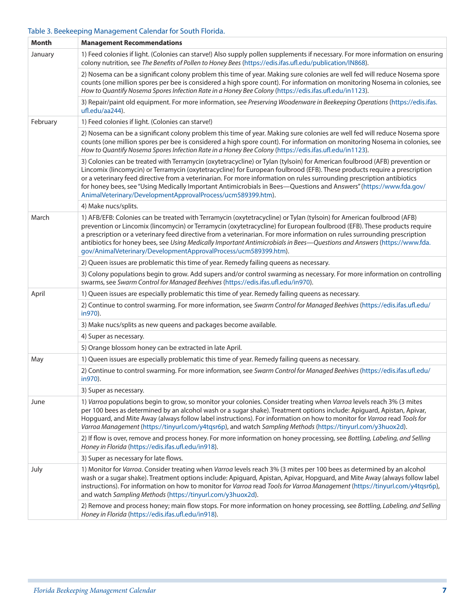### Table 3. Beekeeping Management Calendar for South Florida.

| Month    | <b>Management Recommendations</b>                                                                                                                                                                                                                                                                                                                                                                                                                                                                                                                                             |
|----------|-------------------------------------------------------------------------------------------------------------------------------------------------------------------------------------------------------------------------------------------------------------------------------------------------------------------------------------------------------------------------------------------------------------------------------------------------------------------------------------------------------------------------------------------------------------------------------|
| January  | 1) Feed colonies if light. (Colonies can starve!) Also supply pollen supplements if necessary. For more information on ensuring<br>colony nutrition, see The Benefits of Pollen to Honey Bees (https://edis.ifas.ufl.edu/publication/IN868).                                                                                                                                                                                                                                                                                                                                  |
|          | 2) Nosema can be a significant colony problem this time of year. Making sure colonies are well fed will reduce Nosema spore<br>counts (one million spores per bee is considered a high spore count). For information on monitoring Nosema in colonies, see<br>How to Quantify Nosema Spores Infection Rate in a Honey Bee Colony (https://edis.ifas.ufl.edu/in1123).                                                                                                                                                                                                          |
|          | 3) Repair/paint old equipment. For more information, see Preserving Woodenware in Beekeeping Operations (https://edis.ifas.<br>ufl.edu/aa244).                                                                                                                                                                                                                                                                                                                                                                                                                                |
| February | 1) Feed colonies if light. (Colonies can starve!)                                                                                                                                                                                                                                                                                                                                                                                                                                                                                                                             |
|          | 2) Nosema can be a significant colony problem this time of year. Making sure colonies are well fed will reduce Nosema spore<br>counts (one million spores per bee is considered a high spore count). For information on monitoring Nosema in colonies, see<br>How to Quantify Nosema Spores Infection Rate in a Honey Bee Colony (https://edis.ifas.ufl.edu/in1123).                                                                                                                                                                                                          |
|          | 3) Colonies can be treated with Terramycin (oxytetracycline) or Tylan (tylsoin) for American foulbrood (AFB) prevention or<br>Lincomix (lincomycin) or Terramycin (oxytetracycline) for European foulbrood (EFB). These products require a prescription<br>or a veterinary feed directive from a veterinarian. For more information on rules surrounding prescription antibiotics<br>for honey bees, see "Using Medically Important Antimicrobials in Bees-Questions and Answers" (https://www.fda.gov/<br>AnimalVeterinary/DevelopmentApprovalProcess/ucm589399.htm).        |
|          | 4) Make nucs/splits.                                                                                                                                                                                                                                                                                                                                                                                                                                                                                                                                                          |
| March    | 1) AFB/EFB: Colonies can be treated with Terramycin (oxytetracycline) or Tylan (tylsoin) for American foulbrood (AFB)<br>prevention or Lincomix (lincomycin) or Terramycin (oxytetracycline) for European foulbrood (EFB). These products require<br>a prescription or a veterinary feed directive from a veterinarian. For more information on rules surrounding prescription<br>antibiotics for honey bees, see Using Medically Important Antimicrobials in Bees-Questions and Answers (https://www.fda.<br>gov/AnimalVeterinary/DevelopmentApprovalProcess/ucm589399.htm). |
|          | 2) Queen issues are problematic this time of year. Remedy failing queens as necessary.                                                                                                                                                                                                                                                                                                                                                                                                                                                                                        |
|          | 3) Colony populations begin to grow. Add supers and/or control swarming as necessary. For more information on controlling<br>swarms, see Swarm Control for Managed Beehives (https://edis.ifas.ufl.edu/in970).                                                                                                                                                                                                                                                                                                                                                                |
| April    | 1) Queen issues are especially problematic this time of year. Remedy failing queens as necessary.                                                                                                                                                                                                                                                                                                                                                                                                                                                                             |
|          | 2) Continue to control swarming. For more information, see Swarm Control for Managed Beehives (https://edis.ifas.ufl.edu/<br>in970).                                                                                                                                                                                                                                                                                                                                                                                                                                          |
|          | 3) Make nucs/splits as new queens and packages become available.                                                                                                                                                                                                                                                                                                                                                                                                                                                                                                              |
|          | 4) Super as necessary.                                                                                                                                                                                                                                                                                                                                                                                                                                                                                                                                                        |
|          | 5) Orange blossom honey can be extracted in late April.                                                                                                                                                                                                                                                                                                                                                                                                                                                                                                                       |
| May      | 1) Queen issues are especially problematic this time of year. Remedy failing queens as necessary.                                                                                                                                                                                                                                                                                                                                                                                                                                                                             |
|          | 2) Continue to control swarming. For more information, see Swarm Control for Managed Beehives (https://edis.ifas.ufl.edu/<br>in970).                                                                                                                                                                                                                                                                                                                                                                                                                                          |
|          | 3) Super as necessary.                                                                                                                                                                                                                                                                                                                                                                                                                                                                                                                                                        |
| June     | 1) Varroa populations begin to grow, so monitor your colonies. Consider treating when Varroa levels reach 3% (3 mites<br>per 100 bees as determined by an alcohol wash or a sugar shake). Treatment options include: Apiguard, Apistan, Apivar,<br>Hopguard, and Mite Away (always follow label instructions). For information on how to monitor for Varroa read Tools for<br>Varroa Management (https://tinyurl.com/y4tqsr6p), and watch Sampling Methods (https://tinyurl.com/y3huox2d).                                                                                    |
|          | 2) If flow is over, remove and process honey. For more information on honey processing, see Bottling, Labeling, and Selling<br>Honey in Florida (https://edis.ifas.ufl.edu/in918).                                                                                                                                                                                                                                                                                                                                                                                            |
|          | 3) Super as necessary for late flows.                                                                                                                                                                                                                                                                                                                                                                                                                                                                                                                                         |
| July     | 1) Monitor for Varroa. Consider treating when Varroa levels reach 3% (3 mites per 100 bees as determined by an alcohol<br>wash or a sugar shake). Treatment options include: Apiguard, Apistan, Apivar, Hopguard, and Mite Away (always follow label<br>instructions). For information on how to monitor for Varroa read Tools for Varroa Management (https://tinyurl.com/y4tqsr6p),<br>and watch Sampling Methods (https://tinyurl.com/y3huox2d).                                                                                                                            |
|          | 2) Remove and process honey; main flow stops. For more information on honey processing, see Bottling, Labeling, and Selling<br>Honey in Florida (https://edis.ifas.ufl.edu/in918).                                                                                                                                                                                                                                                                                                                                                                                            |